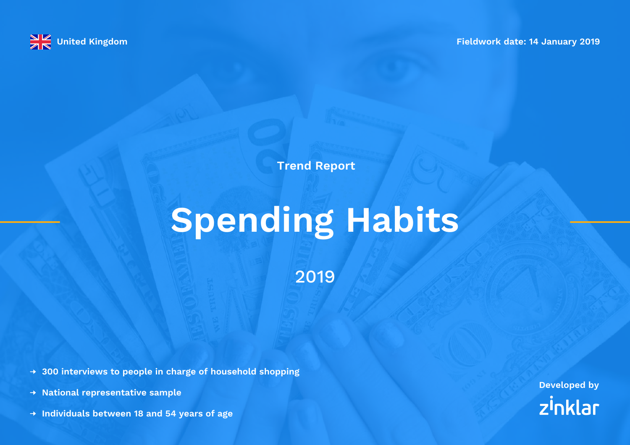

**Trend Report**

# **Spending Habits**

2019

**300 interviews to people in charge of household shopping**

- **National representative sample**
- **Individuals between 18 and 54 years of age**

**Developed by** zinklar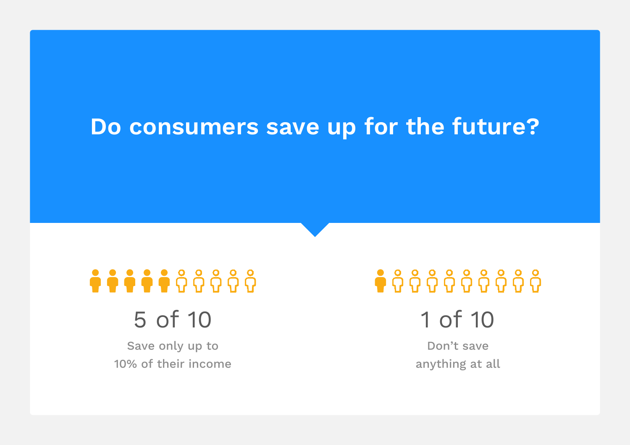#### **Do consumers save up for the future?**

# **\*\*\*\*\***\*\*\*\*\*

## 5 of 10

Save only up to 10% of their income

# 

1 of 10

Don't save anything at all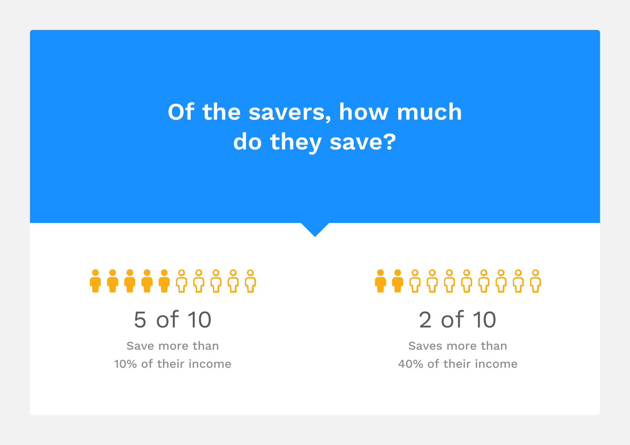## **Of the savers, how much do they save?**

# \*\*\*\*\*\*\*\*\*\*

#### 5 of 10

Save more than 10% of their income

# $\bullet$  $\bullet$  $\theta$  $\theta$  $\theta$  $\theta$  $\theta$  $\theta$  $\theta$  $\theta$

2 of 10

Saves more than 40% of their income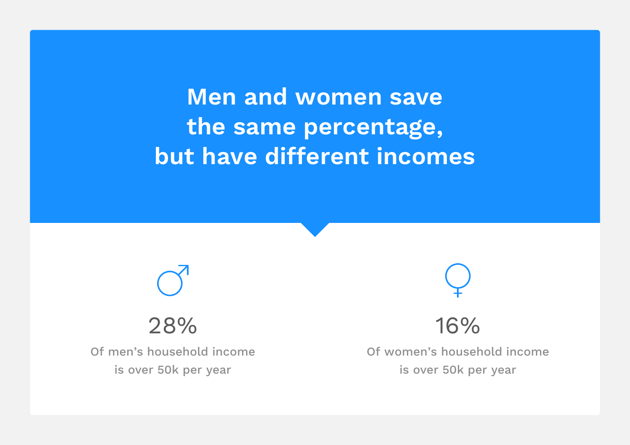**Men and women save the same percentage, but have different incomes**



Of men's household income is over 50k per year



16%

Of women's household income is over 50k per year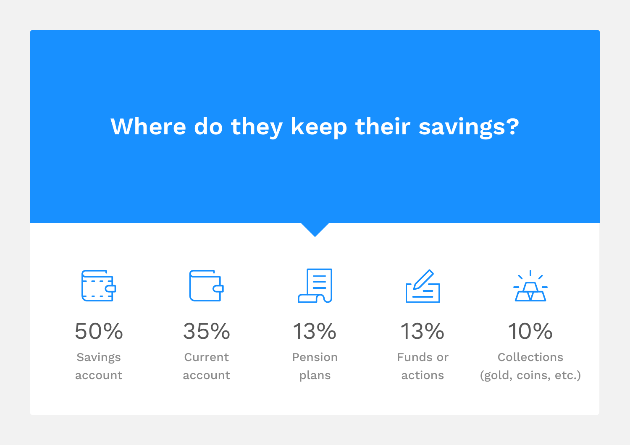#### **Where do they keep their savings?**



50%

Savings account



35%

Current account



13%

Pension plans



13%

Funds or actions



10%

Collections (gold, coins, etc.)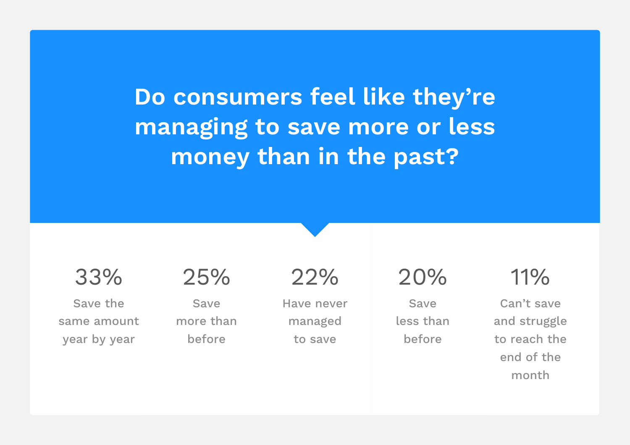**Do consumers feel like they're managing to save more or less money than in the past?** 

33% Save the

same amount

year by year

25%

Save more than before

22%

Have never managed to save

20%

Save less than before

11%

Can't save and struggle to reach the end of the month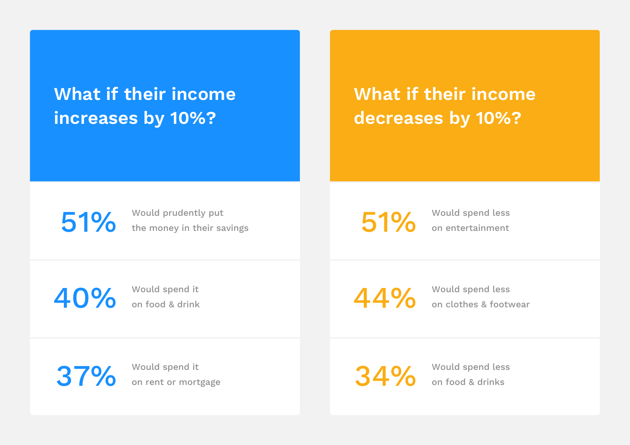#### **What if their income increases by 10%?**

#### **What if their income decreases by 10%?**

51% Would prudently put the money in their savings

51% Would spend less on entertainment

40% Would spend it

on food & drink

44% Would spend less<br>on clothes & footy

on clothes & footwear

37% Would spend it on rent or mortgage

34% Would spend less<br>on food & drinks on food & drinks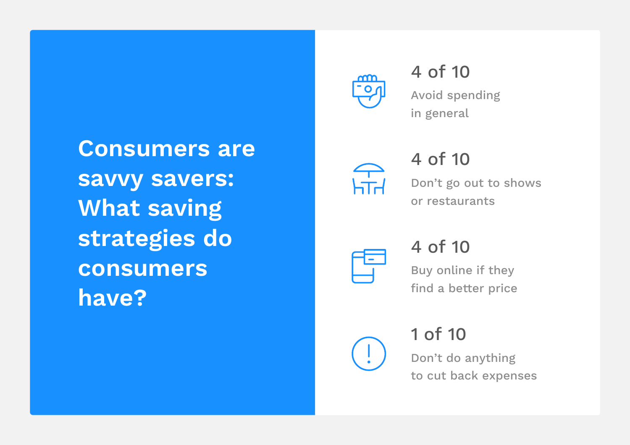**Consumers are savvy savers: What saving strategies do consumers have?** 



4 of 10 Avoid spending in general



4 of 10 Don't go out to shows or restaurants



4 of 10

Buy online if they find a better price

1 of 10 Don't do anything to cut back expenses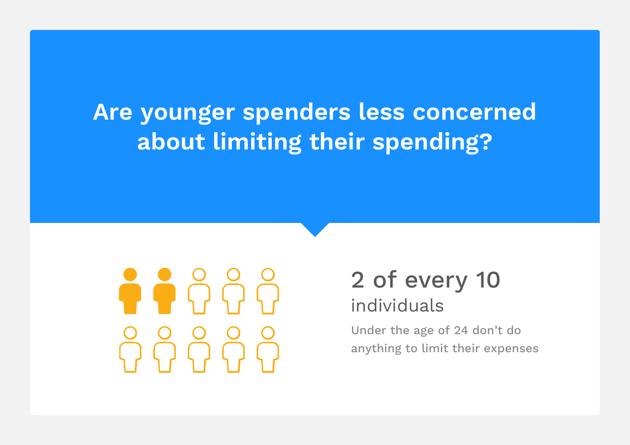## **Are younger spenders less concerned about limiting their spending?**



#### 2 of every 10 individuals

Under the age of 24 don't do anything to limit their expenses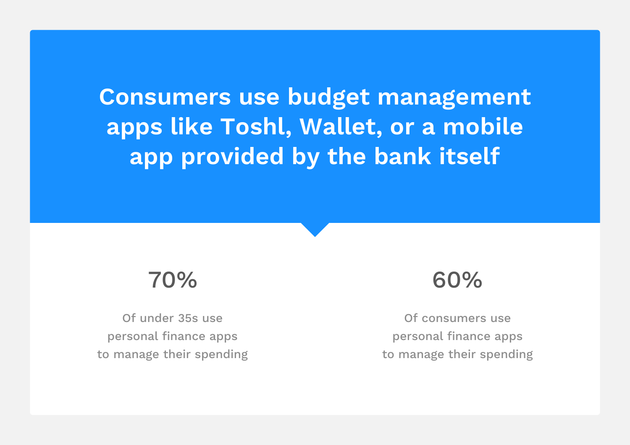**Consumers use budget management apps like Toshl, Wallet, or a mobile app provided by the bank itself**

#### 70%

Of under 35s use personal finance apps to manage their spending

#### 60%

Of consumers use personal finance apps to manage their spending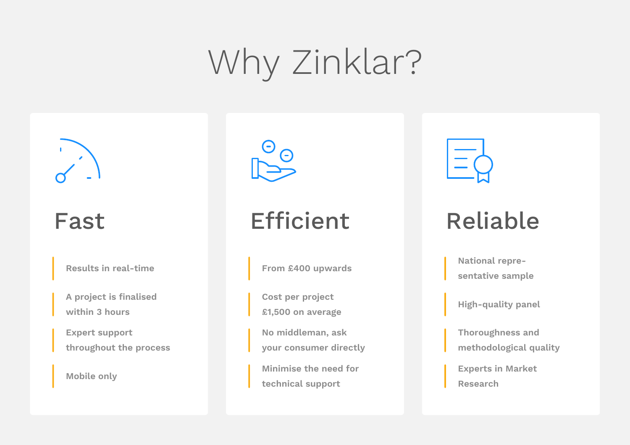# Why Zinklar?



#### Fast

**Results in real-time**

**A project is finalised within 3 hours**

**Expert support throughout the process**

**Mobile only**



## Efficient

**From £400 upwards**

**Cost per project £1,500 on average**

**No middleman, ask your consumer directly**

**Minimise the need for technical support**



## Reliable

**National representative sample**

**High-quality panel**

**Thoroughness and methodological quality**

**Experts in Market Research**